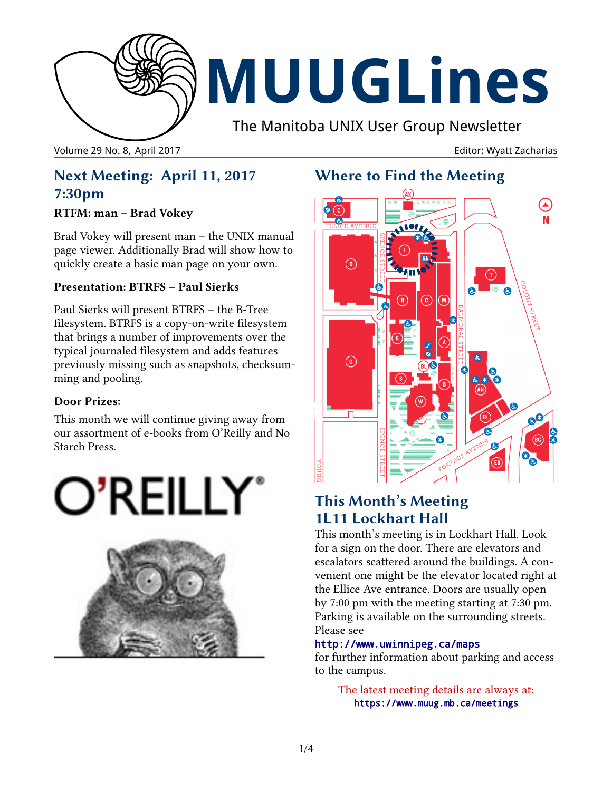

# **MUUGLines**

The Manitoba UNIX User Group Newsletter

Volume 29 No. 8, April 2017 **Editor: Wyatt Zacharias** Volume 29 No. 8, April 2017

## **Next Meeting: April 11, 2017 7:30pm**

### **RTFM: man – Brad Vokey**

Brad Vokey will present man – the UNIX manual page viewer. Additionally Brad will show how to quickly create a basic man page on your own.

### **Presentation: BTRFS – Paul Sierks**

Paul Sierks will present BTRFS – the B-Tree filesystem. BTRFS is a copy-on-write filesystem that brings a number of improvements over the typical journaled filesystem and adds features previously missing such as snapshots, checksumming and pooling.

### **Door Prizes:**

This month we will continue giving away from our assortment of e-books from O'Reilly and No Starch Press.





# **Where to Find the Meeting**



## **This Month's Meeting 1L11 Lockhart Hall**

This month's meeting is in Lockhart Hall. Look for a sign on the door. There are elevators and escalators scattered around the buildings. A convenient one might be the elevator located right at the Ellice Ave entrance. Doors are usually open by 7:00 pm with the meeting starting at 7:30 pm. Parking is available on the surrounding streets. Please see

### http://www.uwinnipeg.ca/maps

for further information about parking and access to the campus.

The latest meeting details are always at: https://www.muug.mb.ca/meetings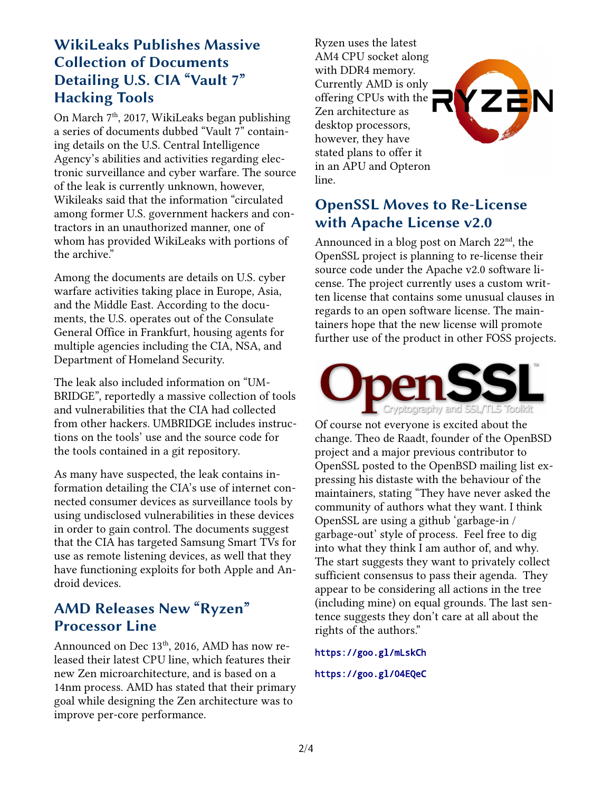### **WikiLeaks Publishes Massive Collection of Documents Detailing U.S. CIA "Vault 7" Hacking Tools**

On March 7<sup>th</sup>, 2017, WikiLeaks began publishing a series of documents dubbed "Vault 7" containing details on the U.S. Central Intelligence Agency's abilities and activities regarding electronic surveillance and cyber warfare. The source of the leak is currently unknown, however, Wikileaks said that the information "circulated among former U.S. government hackers and contractors in an unauthorized manner, one of whom has provided WikiLeaks with portions of the archive."

Among the documents are details on U.S. cyber warfare activities taking place in Europe, Asia, and the Middle East. According to the documents, the U.S. operates out of the Consulate General Office in Frankfurt, housing agents for multiple agencies including the CIA, NSA, and Department of Homeland Security.

The leak also included information on "UM-BRIDGE", reportedly a massive collection of tools and vulnerabilities that the CIA had collected from other hackers. UMBRIDGE includes instructions on the tools' use and the source code for the tools contained in a git repository.

As many have suspected, the leak contains information detailing the CIA's use of internet connected consumer devices as surveillance tools by using undisclosed vulnerabilities in these devices in order to gain control. The documents suggest that the CIA has targeted Samsung Smart TVs for use as remote listening devices, as well that they have functioning exploits for both Apple and Android devices.

## **AMD Releases New "Ryzen" Processor Line**

Announced on Dec 13<sup>th</sup>, 2016, AMD has now released their latest CPU line, which features their new Zen microarchitecture, and is based on a 14nm process. AMD has stated that their primary goal while designing the Zen architecture was to improve per-core performance.

Ryzen uses the latest AM4 CPU socket along with DDR4 memory. Currently AMD is only offering CPUs with the Zen architecture as desktop processors, however, they have stated plans to offer it in an APU and Opteron line.



ZZN

Announced in a blog post on March  $22<sup>nd</sup>$ , the OpenSSL project is planning to re-license their source code under the Apache v2.0 software license. The project currently uses a custom written license that contains some unusual clauses in regards to an open software license. The maintainers hope that the new license will promote further use of the product in other FOSS projects.



Of course not everyone is excited about the change. Theo de Raadt, founder of the OpenBSD project and a major previous contributor to OpenSSL posted to the OpenBSD mailing list expressing his distaste with the behaviour of the maintainers, stating "They have never asked the community of authors what they want. I think OpenSSL are using a github 'garbage-in / garbage-out' style of process. Feel free to dig into what they think I am author of, and why. The start suggests they want to privately collect sufficient consensus to pass their agenda. They appear to be considering all actions in the tree (including mine) on equal grounds. The last sentence suggests they don't care at all about the rights of the authors."

### <https://goo.gl/mLskCh>

### <https://goo.gl/04EQeC>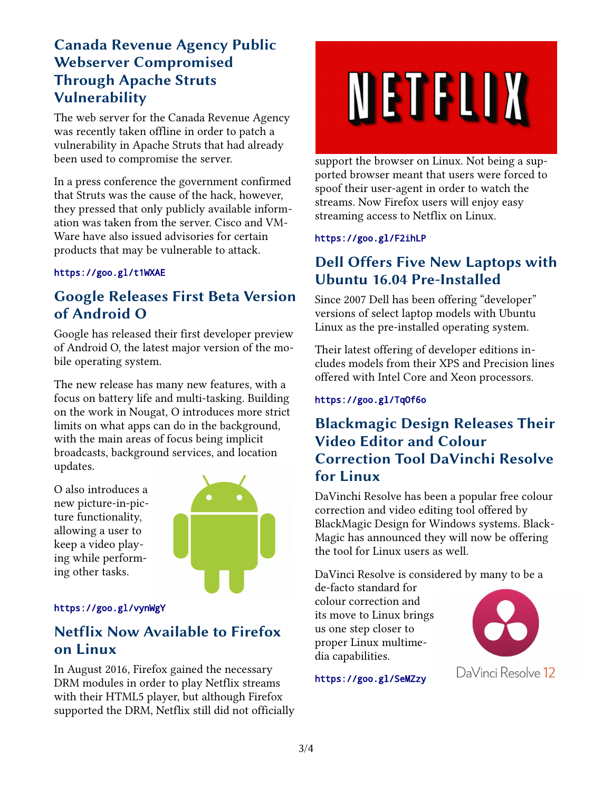## **Canada Revenue Agency Public Webserver Compromised Through Apache Struts Vulnerability**

The web server for the Canada Revenue Agency was recently taken offline in order to patch a vulnerability in Apache Struts that had already been used to compromise the server.

In a press conference the government confirmed that Struts was the cause of the hack, however, they pressed that only publicly available information was taken from the server. Cisco and VM-Ware have also issued advisories for certain products that may be vulnerable to attack.

### <https://goo.gl/t1WXAE>

### **Google Releases First Beta Version of Android O**

Google has released their first developer preview of Android O, the latest major version of the mobile operating system.

The new release has many new features, with a focus on battery life and multi-tasking. Building on the work in Nougat, O introduces more strict limits on what apps can do in the background, with the main areas of focus being implicit broadcasts, background services, and location updates.

O also introduces a new picture-in-picture functionality, allowing a user to keep a video playing while performing other tasks.



### <https://goo.gl/vynWgY>

### **Netflix Now Available to Firefox on Linux**

In August 2016, Firefox gained the necessary DRM modules in order to play Netflix streams with their HTML5 player, but although Firefox supported the DRM, Netflix still did not officially

# NETFLIX

support the browser on Linux. Not being a supported browser meant that users were forced to spoof their user-agent in order to watch the streams. Now Firefox users will enjoy easy streaming access to Netflix on Linux.

### <https://goo.gl/F2ihLP>

## **Dell Offers Five New Laptops with Ubuntu 16.04 Pre-Installed**

Since 2007 Dell has been offering "developer" versions of select laptop models with Ubuntu Linux as the pre-installed operating system.

Their latest offering of developer editions includes models from their XPS and Precision lines offered with Intel Core and Xeon processors.

### <https://goo.gl/TqOf6o>

### **Blackmagic Design Releases Their Video Editor and Colour Correction Tool DaVinchi Resolve for Linux**

DaVinchi Resolve has been a popular free colour correction and video editing tool offered by BlackMagic Design for Windows systems. Black-Magic has announced they will now be offering the tool for Linux users as well.

DaVinci Resolve is considered by many to be a

de-facto standard for colour correction and its move to Linux brings us one step closer to proper Linux multimedia capabilities.



<https://goo.gl/SeMZzy>